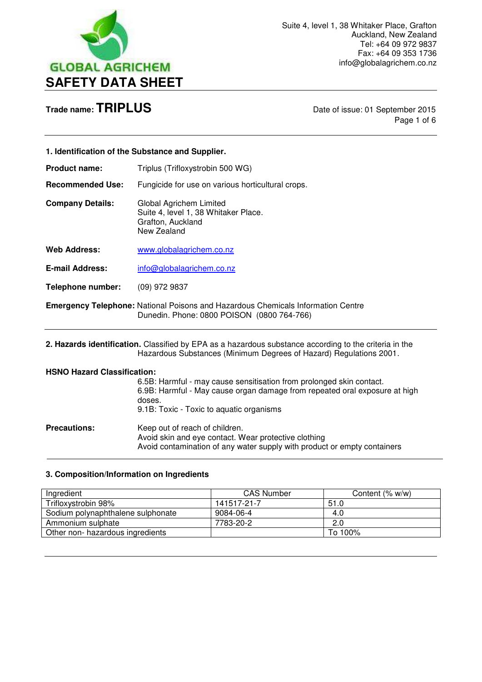

Page 1 of 6

| 1. Identification of the Substance and Supplier.                                                                                      |                                                                                                     |
|---------------------------------------------------------------------------------------------------------------------------------------|-----------------------------------------------------------------------------------------------------|
| <b>Product name:</b>                                                                                                                  | Triplus (Trifloxystrobin 500 WG)                                                                    |
| <b>Recommended Use:</b>                                                                                                               | Fungicide for use on various horticultural crops.                                                   |
| <b>Company Details:</b>                                                                                                               | Global Agrichem Limited<br>Suite 4, level 1, 38 Whitaker Place.<br>Grafton, Auckland<br>New Zealand |
| <b>Web Address:</b>                                                                                                                   | www.globalagrichem.co.nz                                                                            |
| <b>E-mail Address:</b>                                                                                                                | info@globalagrichem.co.nz                                                                           |
| Telephone number:                                                                                                                     | $(09)$ 972 9837                                                                                     |
| <b>Emergency Telephone:</b> National Poisons and Hazardous Chemicals Information Centre<br>Dunedin. Phone: 0800 POISON (0800 764-766) |                                                                                                     |
| 2. Hazards identification. Classified by EPA as a hazardous substance according to the criteria in the                                |                                                                                                     |

**2. Hazards identification.** Classified by EPA as a hazardous substance according to the criteria in the Hazardous Substances (Minimum Degrees of Hazard) Regulations 2001.

### **HSNO Hazard Classification:**

6.5B: Harmful - may cause sensitisation from prolonged skin contact. 6.9B: Harmful - May cause organ damage from repeated oral exposure at high doses. 9.1B: Toxic - Toxic to aquatic organisms

**Precautions: Keep out of reach of children.** Avoid skin and eye contact. Wear protective clothing Avoid contamination of any water supply with product or empty containers L

### **3. Composition/Information on Ingredients**

| Ingredient                        | <b>CAS Number</b> | Content (% w/w) |
|-----------------------------------|-------------------|-----------------|
| Trifloxystrobin 98%               | 141517-21-7       | 51.0            |
| Sodium polynaphthalene sulphonate | 9084-06-4         | 4.0             |
| Ammonium sulphate                 | 7783-20-2         | 2.0             |
| Other non- hazardous ingredients  |                   | To 100%         |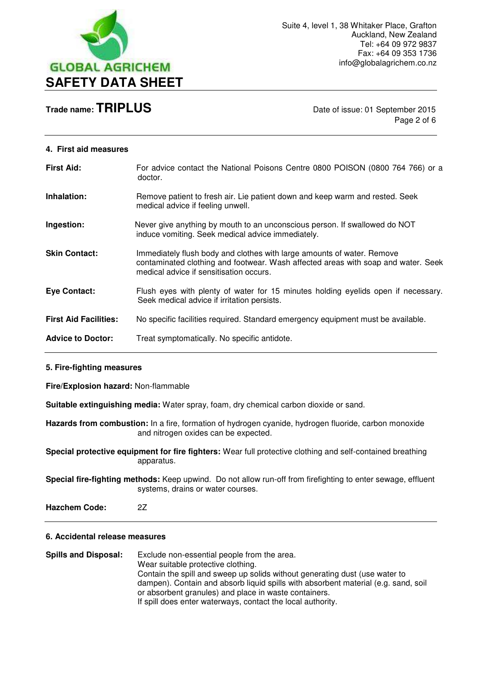

Page 2 of 6

#### **4. First aid measures**

| <b>First Aid:</b>            | For advice contact the National Poisons Centre 0800 POISON (0800 764 766) or a<br>doctor.                                                                                                              |
|------------------------------|--------------------------------------------------------------------------------------------------------------------------------------------------------------------------------------------------------|
| Inhalation:                  | Remove patient to fresh air. Lie patient down and keep warm and rested. Seek<br>medical advice if feeling unwell.                                                                                      |
| Ingestion:                   | Never give anything by mouth to an unconscious person. If swallowed do NOT<br>induce vomiting. Seek medical advice immediately.                                                                        |
| <b>Skin Contact:</b>         | Immediately flush body and clothes with large amounts of water. Remove<br>contaminated clothing and footwear. Wash affected areas with soap and water. Seek<br>medical advice if sensitisation occurs. |
| <b>Eye Contact:</b>          | Flush eyes with plenty of water for 15 minutes holding eyelids open if necessary.<br>Seek medical advice if irritation persists.                                                                       |
| <b>First Aid Facilities:</b> | No specific facilities required. Standard emergency equipment must be available.                                                                                                                       |
| <b>Advice to Doctor:</b>     | Treat symptomatically. No specific antidote.                                                                                                                                                           |

#### **5. Fire-fighting measures**

**Fire/Explosion hazard:** Non-flammable

**Suitable extinguishing media:** Water spray, foam, dry chemical carbon dioxide or sand.

**Hazards from combustion:** In a fire, formation of hydrogen cyanide, hydrogen fluoride, carbon monoxide and nitrogen oxides can be expected.

**Special protective equipment for fire fighters:** Wear full protective clothing and self-contained breathing apparatus.

**Special fire-fighting methods:** Keep upwind. Do not allow run-off from firefighting to enter sewage, effluent systems, drains or water courses.

**Hazchem Code:** 2Z

#### **6. Accidental release measures**

**Spills and Disposal:** Exclude non-essential people from the area. Wear suitable protective clothing. Contain the spill and sweep up solids without generating dust (use water to dampen). Contain and absorb liquid spills with absorbent material (e.g. sand, soil or absorbent granules) and place in waste containers. If spill does enter waterways, contact the local authority.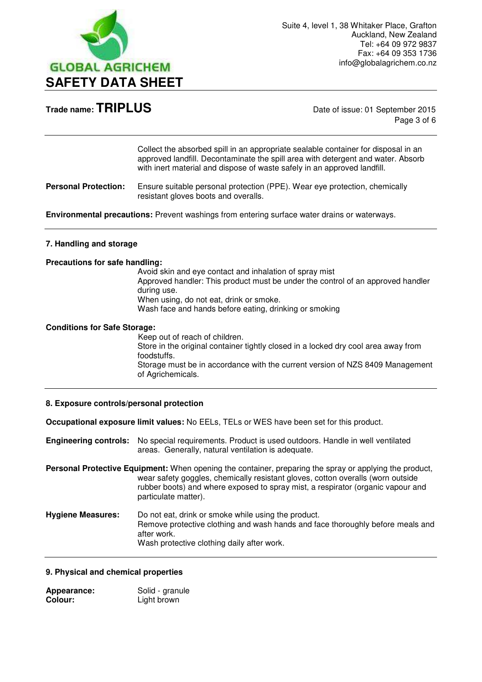

Page 3 of 6

Collect the absorbed spill in an appropriate sealable container for disposal in an approved landfill. Decontaminate the spill area with detergent and water. Absorb with inert material and dispose of waste safely in an approved landfill.

**Personal Protection:** Ensure suitable personal protection (PPE). Wear eye protection, chemically resistant gloves boots and overalls.

**Environmental precautions:** Prevent washings from entering surface water drains or waterways.

#### **7. Handling and storage**

#### **Precautions for safe handling:**

Avoid skin and eye contact and inhalation of spray mist Approved handler: This product must be under the control of an approved handler during use. When using, do not eat, drink or smoke. Wash face and hands before eating, drinking or smoking

#### **Conditions for Safe Storage:**

Keep out of reach of children. Store in the original container tightly closed in a locked dry cool area away from foodstuffs. Storage must be in accordance with the current version of NZS 8409 Management of Agrichemicals.

#### **8. Exposure controls/personal protection**

**Occupational exposure limit values:** No EELs, TELs or WES have been set for this product.

**Engineering controls:** No special requirements. Product is used outdoors. Handle in well ventilated areas. Generally, natural ventilation is adequate.

**Personal Protective Equipment:** When opening the container, preparing the spray or applying the product, wear safety goggles, chemically resistant gloves, cotton overalls (worn outside rubber boots) and where exposed to spray mist, a respirator (organic vapour and particulate matter).

**Hygiene Measures:** Do not eat, drink or smoke while using the product. Remove protective clothing and wash hands and face thoroughly before meals and after work. Wash protective clothing daily after work.

#### **9. Physical and chemical properties**

| Appearance: | Solid - granule |
|-------------|-----------------|
| Colour:     | Light brown     |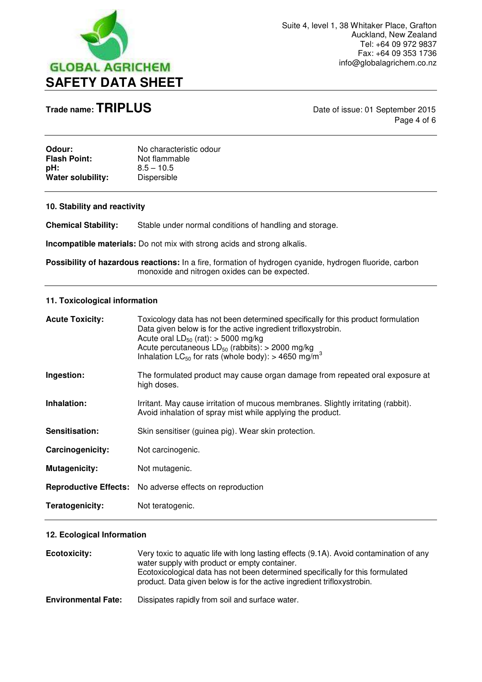

**Trade name: TRIPLUS** Date of issue: 01 September 2015 Page 4 of 6

| Odour:              | No characteristic odour |
|---------------------|-------------------------|
| <b>Flash Point:</b> | Not flammable           |
| pH:                 | $8.5 - 10.5$            |
| Water solubility:   | Dispersible             |

#### **10. Stability and reactivity**

**Chemical Stability:** Stable under normal conditions of handling and storage.

**Incompatible materials:** Do not mix with strong acids and strong alkalis.

Possibility of hazardous reactions: In a fire, formation of hydrogen cyanide, hydrogen fluoride, carbon monoxide and nitrogen oxides can be expected.

#### **11. Toxicological information**

| <b>Acute Toxicity:</b> | Toxicology data has not been determined specifically for this product formulation<br>Data given below is for the active ingredient trifloxystrobin.<br>Acute oral $LD_{50}$ (rat): $>$ 5000 mg/kg<br>Acute percutaneous $LD_{50}$ (rabbits): > 2000 mg/kg<br>Inhalation LC <sub>50</sub> for rats (whole body): > 4650 mg/m <sup>3</sup> |
|------------------------|------------------------------------------------------------------------------------------------------------------------------------------------------------------------------------------------------------------------------------------------------------------------------------------------------------------------------------------|
| Ingestion:             | The formulated product may cause organ damage from repeated oral exposure at<br>high doses.                                                                                                                                                                                                                                              |
| Inhalation:            | Irritant. May cause irritation of mucous membranes. Slightly irritating (rabbit).<br>Avoid inhalation of spray mist while applying the product.                                                                                                                                                                                          |
| Sensitisation:         | Skin sensitiser (guinea pig). Wear skin protection.                                                                                                                                                                                                                                                                                      |
| Carcinogenicity:       | Not carcinogenic.                                                                                                                                                                                                                                                                                                                        |
| Mutagenicity:          | Not mutagenic.                                                                                                                                                                                                                                                                                                                           |
|                        | <b>Reproductive Effects:</b> No adverse effects on reproduction                                                                                                                                                                                                                                                                          |
| Teratogenicity:        | Not teratogenic.                                                                                                                                                                                                                                                                                                                         |

#### **12. Ecological Information**

| Ecotoxicity:               | Very toxic to aquatic life with long lasting effects (9.1A). Avoid contamination of any<br>water supply with product or empty container.<br>Ecotoxicological data has not been determined specifically for this formulated<br>product. Data given below is for the active ingredient trifloxystrobin. |
|----------------------------|-------------------------------------------------------------------------------------------------------------------------------------------------------------------------------------------------------------------------------------------------------------------------------------------------------|
| <b>Environmental Fate:</b> | Dissipates rapidly from soil and surface water.                                                                                                                                                                                                                                                       |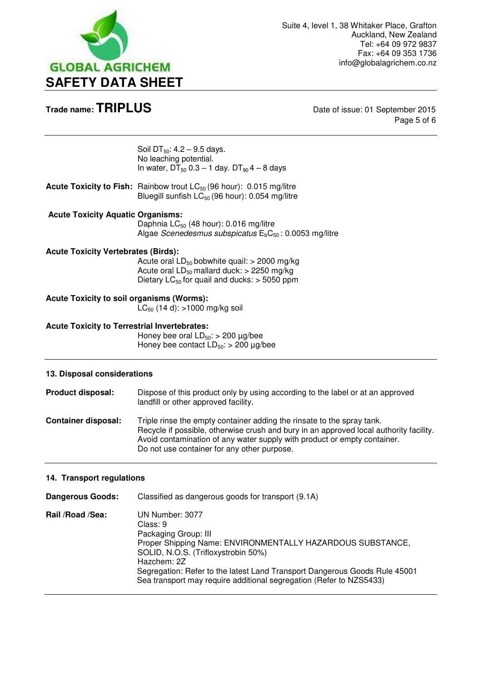

Page 5 of 6

|                                                     | Soil DT <sub>50</sub> : $4.2 - 9.5$ days.<br>No leaching potential.<br>In water, $DT_{50}$ 0.3 – 1 day. $DT_{90}$ 4 – 8 days                                |
|-----------------------------------------------------|-------------------------------------------------------------------------------------------------------------------------------------------------------------|
|                                                     | <b>Acute Toxicity to Fish:</b> Rainbow trout $LC_{50}$ (96 hour): 0.015 mg/litre<br>Bluegill sunfish $LC_{50}$ (96 hour): 0.054 mg/litre                    |
| <b>Acute Toxicity Aquatic Organisms:</b>            | Daphnia $LC_{50}$ (48 hour): 0.016 mg/litre<br>Algae Scenedesmus subspicatus $E_bC_{50}$ : 0.0053 mg/litre                                                  |
| <b>Acute Toxicity Vertebrates (Birds):</b>          | Acute oral $LD_{50}$ bobwhite quail: > 2000 mg/kg<br>Acute oral $LD_{50}$ mallard duck: > 2250 mg/kg<br>Dietary $LC_{50}$ for quail and ducks: $>$ 5050 ppm |
| <b>Acute Toxicity to soil organisms (Worms):</b>    | $LC_{50}$ (14 d): >1000 mg/kg soil                                                                                                                          |
| <b>Acute Toxicity to Terrestrial Invertebrates:</b> | Honey bee oral $LD_{50}$ : > 200 $\mu$ g/bee<br>Honey bee contact $LD_{50}$ : > 200 µg/bee                                                                  |
| 13. Disposal considerations                         |                                                                                                                                                             |
| Product disposal:                                   | Dispose of this product only by using according to the label or at an approved<br>landfill or other approved facility.                                      |
| <b>Container disposal:</b>                          | Triple rinse the empty container adding the rinsate to the spray tank.                                                                                      |

 Recycle if possible, otherwise crush and bury in an approved local authority facility. Avoid contamination of any water supply with product or empty container. Do not use container for any other purpose.

#### **14. Transport regulations**

| <b>Dangerous Goods:</b> | Classified as dangerous goods for transport (9.1A)                                                                                                                                                                                                                                                                           |
|-------------------------|------------------------------------------------------------------------------------------------------------------------------------------------------------------------------------------------------------------------------------------------------------------------------------------------------------------------------|
| Rail /Road /Sea:        | UN Number: 3077<br>Class: 9<br>Packaging Group: III<br>Proper Shipping Name: ENVIRONMENTALLY HAZARDOUS SUBSTANCE,<br>SOLID, N.O.S. (Trifloxystrobin 50%)<br>Hazchem: 2Z<br>Segregation: Refer to the latest Land Transport Dangerous Goods Rule 45001<br>Sea transport may require additional segregation (Refer to NZS5433) |